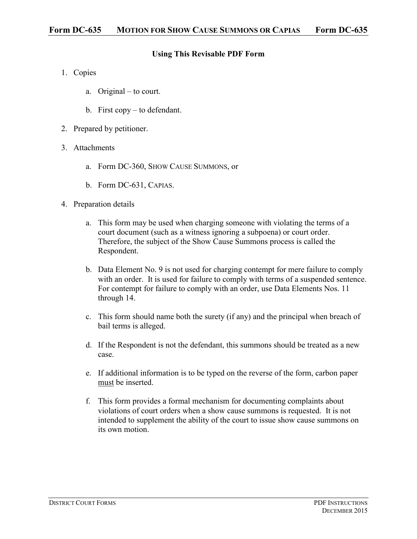## **Using This Revisable PDF Form**

- 1. Copies
	- a. Original to court.
	- b. First copy to defendant.
- 2. Prepared by petitioner.
- 3. Attachments
	- a. Form DC-360, SHOW CAUSE SUMMONS, or
	- b. Form DC-631, CAPIAS.
- 4. Preparation details
	- a. This form may be used when charging someone with violating the terms of a court document (such as a witness ignoring a subpoena) or court order. Therefore, the subject of the Show Cause Summons process is called the Respondent.
	- b. Data Element No. 9 is not used for charging contempt for mere failure to comply with an order. It is used for failure to comply with terms of a suspended sentence. For contempt for failure to comply with an order, use Data Elements Nos. 11 through 14.
	- c. This form should name both the surety (if any) and the principal when breach of bail terms is alleged.
	- d. If the Respondent is not the defendant, this summons should be treated as a new case.
	- e. If additional information is to be typed on the reverse of the form, carbon paper must be inserted.
	- f. This form provides a formal mechanism for documenting complaints about violations of court orders when a show cause summons is requested. It is not intended to supplement the ability of the court to issue show cause summons on its own motion.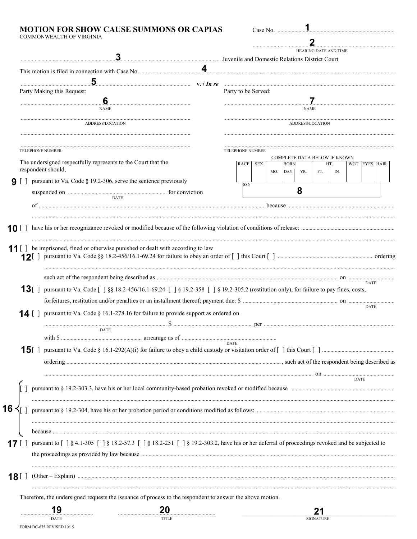## MOTION FOR SHOW CAUSE SUMMONS OR CAPIAS COMMONWEALTH OF VIRGINIA

| Case No                                       |
|-----------------------------------------------|
|                                               |
| <b>HEARING DATE AND TIME</b>                  |
| uvenile and Domestic Relations District Court |

|        | $\overline{\mathbf{5}}$                                                                                                                                                                                                                                                                |  | <u>v. / In re matematic matematic set of the communication of the set of the set of the set of the set of the set of the set of the set of the set of the set of the set of the set of the set of the set of the set of the set </u> |  |  |
|--------|----------------------------------------------------------------------------------------------------------------------------------------------------------------------------------------------------------------------------------------------------------------------------------------|--|--------------------------------------------------------------------------------------------------------------------------------------------------------------------------------------------------------------------------------------|--|--|
|        | Party Making this Request:                                                                                                                                                                                                                                                             |  | Party to be Served:                                                                                                                                                                                                                  |  |  |
|        | $6 \,$<br><b>NAME</b>                                                                                                                                                                                                                                                                  |  | <b>NAME</b>                                                                                                                                                                                                                          |  |  |
|        | ADDRESS/LOCATION                                                                                                                                                                                                                                                                       |  | ADDRESS/LOCATION                                                                                                                                                                                                                     |  |  |
|        | <b>TELEPHONE NUMBER</b>                                                                                                                                                                                                                                                                |  | TELEPHONE NUMBER                                                                                                                                                                                                                     |  |  |
|        | The undersigned respectfully represents to the Court that the<br>respondent should,                                                                                                                                                                                                    |  | COMPLETE DATA BELOW IF KNOWN<br><b>BORN</b><br>WGT. EYES HAIR<br>RACE SEX<br>HT.<br>MO. DAY<br>YR.<br>FT.<br>IN.                                                                                                                     |  |  |
|        | <b>9</b> $\begin{bmatrix} \ \ \end{bmatrix}$ pursuant to Va. Code § 19.2-306, serve the sentence previously                                                                                                                                                                            |  | SSN                                                                                                                                                                                                                                  |  |  |
|        | <b>DATE</b>                                                                                                                                                                                                                                                                            |  | 8                                                                                                                                                                                                                                    |  |  |
|        |                                                                                                                                                                                                                                                                                        |  |                                                                                                                                                                                                                                      |  |  |
| 10 [ ] |                                                                                                                                                                                                                                                                                        |  |                                                                                                                                                                                                                                      |  |  |
|        |                                                                                                                                                                                                                                                                                        |  |                                                                                                                                                                                                                                      |  |  |
|        | 11 [] be imprisoned, fined or otherwise punished or dealt with according to law                                                                                                                                                                                                        |  |                                                                                                                                                                                                                                      |  |  |
|        |                                                                                                                                                                                                                                                                                        |  |                                                                                                                                                                                                                                      |  |  |
|        | <b>13</b> [ ] pursuant to Va. Code $\begin{bmatrix} 1 & 8 & 18.2-456/16.1-69.24 \\ 1 & 8 & 19.2-358 \\ 1 & 1 & 9.2-358 \\ 1 & 1 & 19.2-358 \\ 1 & 1 & 19.2-358 \\ 1 & 1 & 19.2-358 \\ 1 & 1 & 19.2-358 \\ 1 & 1 & 19.2-358 \\ 1 & 1 & 19.2-358 \\ 1 & 1 & 19.2-358 \\ 1 & 1 & 19.2-35$ |  | <b>DATE</b>                                                                                                                                                                                                                          |  |  |
|        |                                                                                                                                                                                                                                                                                        |  |                                                                                                                                                                                                                                      |  |  |
|        | <b>14</b> [ ] pursuant to Va. Code § 16.1-278.16 for failure to provide support as ordered on                                                                                                                                                                                          |  | <b>DATE</b>                                                                                                                                                                                                                          |  |  |
|        | <b>DATE</b>                                                                                                                                                                                                                                                                            |  |                                                                                                                                                                                                                                      |  |  |
|        |                                                                                                                                                                                                                                                                                        |  | <b>DATE</b>                                                                                                                                                                                                                          |  |  |
|        |                                                                                                                                                                                                                                                                                        |  |                                                                                                                                                                                                                                      |  |  |
|        |                                                                                                                                                                                                                                                                                        |  |                                                                                                                                                                                                                                      |  |  |
|        |                                                                                                                                                                                                                                                                                        |  |                                                                                                                                                                                                                                      |  |  |
|        |                                                                                                                                                                                                                                                                                        |  |                                                                                                                                                                                                                                      |  |  |
| 16     |                                                                                                                                                                                                                                                                                        |  |                                                                                                                                                                                                                                      |  |  |
|        |                                                                                                                                                                                                                                                                                        |  |                                                                                                                                                                                                                                      |  |  |
|        |                                                                                                                                                                                                                                                                                        |  |                                                                                                                                                                                                                                      |  |  |
|        |                                                                                                                                                                                                                                                                                        |  |                                                                                                                                                                                                                                      |  |  |
| 18 L J |                                                                                                                                                                                                                                                                                        |  |                                                                                                                                                                                                                                      |  |  |
|        | Therefore, the undersigned requests the issuance of process to the respondent to answer the above motion.                                                                                                                                                                              |  |                                                                                                                                                                                                                                      |  |  |
|        | 19<br>20                                                                                                                                                                                                                                                                               |  |                                                                                                                                                                                                                                      |  |  |
|        | DATE<br>TITLE<br>FORM DC-635 REVISED 10/15                                                                                                                                                                                                                                             |  | <b>SIGNATURE</b>                                                                                                                                                                                                                     |  |  |